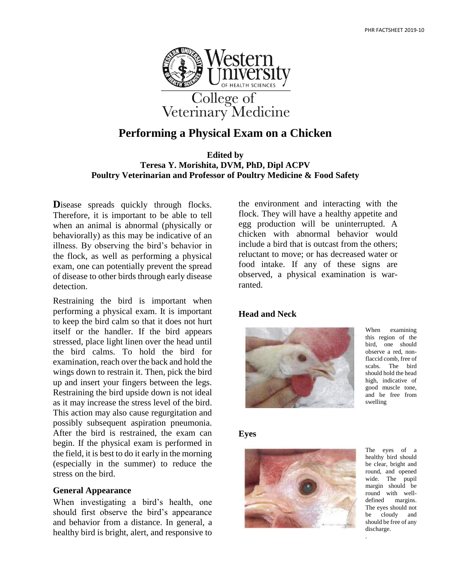

# **Performing a Physical Exam on a Chicken**

# **Edited by Teresa Y. Morishita, DVM, PhD, Dipl ACPV Poultry Veterinarian and Professor of Poultry Medicine & Food Safety**

Disease spreads quickly through flocks. Therefore, it is important to be able to tell when an animal is abnormal (physically or behaviorally) as this may be indicative of an illness. By observing the bird's behavior in the flock, as well as performing a physical exam, one can potentially prevent the spread of disease to other birds through early disease detection.

Restraining the bird is important when performing a physical exam. It is important to keep the bird calm so that it does not hurt itself or the handler. If the bird appears stressed, place light linen over the head until the bird calms. To hold the bird for examination, reach over the back and hold the wings down to restrain it. Then, pick the bird up and insert your fingers between the legs. Restraining the bird upside down is not ideal as it may increase the stress level of the bird. This action may also cause regurgitation and possibly subsequent aspiration pneumonia. After the bird is restrained, the exam can begin. If the physical exam is performed in the field, it is best to do it early in the morning (especially in the summer) to reduce the stress on the bird.

# **General Appearance**

When investigating a bird's health, one should first observe the bird's appearance and behavior from a distance. In general, a healthy bird is bright, alert, and responsive to

the environment and interacting with the flock. They will have a healthy appetite and egg production will be uninterrupted. A chicken with abnormal behavior would include a bird that is outcast from the others; reluctant to move; or has decreased water or food intake. If any of these signs are observed, a physical examination is warranted.

# **Head and Neck**



When examining this region of the bird, one should observe a red, nonflaccid comb, free of scabs. The bird should hold the head high, indicative of good muscle tone, and be free from swelling

## **Eyes**



The eyes of a healthy bird should be clear, bright and round, and opened wide. The pupil margin should be round with welldefined margins. The eyes should not be cloudy and should be free of any discharge.

.